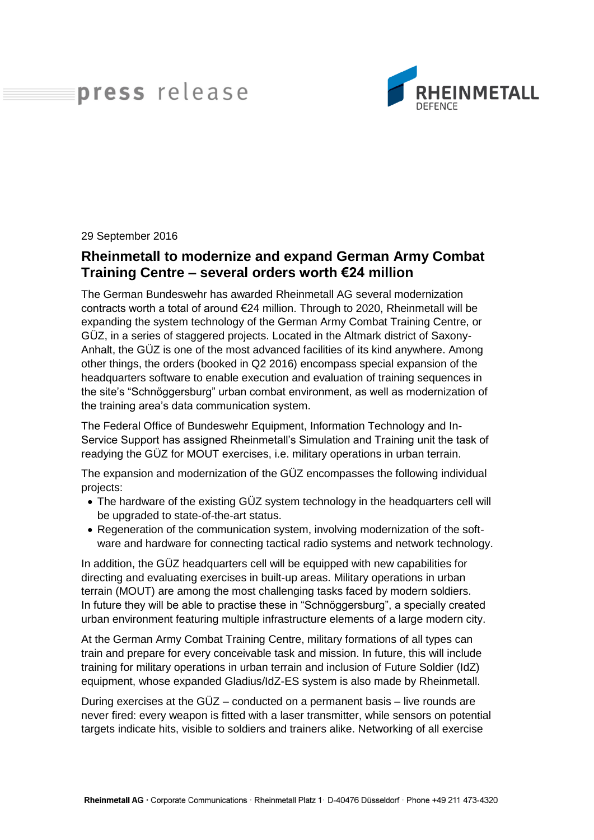## press release



29 September 2016

## **Rheinmetall to modernize and expand German Army Combat Training Centre – several orders worth €24 million**

The German Bundeswehr has awarded Rheinmetall AG several modernization contracts worth a total of around €24 million. Through to 2020, Rheinmetall will be expanding the system technology of the German Army Combat Training Centre, or GÜZ, in a series of staggered projects. Located in the Altmark district of Saxony-Anhalt, the GÜZ is one of the most advanced facilities of its kind anywhere. Among other things, the orders (booked in Q2 2016) encompass special expansion of the headquarters software to enable execution and evaluation of training sequences in the site's "Schnöggersburg" urban combat environment, as well as modernization of the training area's data communication system.

The Federal Office of Bundeswehr Equipment, Information Technology and In-Service Support has assigned Rheinmetall's Simulation and Training unit the task of readying the GÜZ for MOUT exercises, i.e. military operations in urban terrain.

The expansion and modernization of the GÜZ encompasses the following individual projects:

- The hardware of the existing GÜZ system technology in the headquarters cell will be upgraded to state-of-the-art status.
- Regeneration of the communication system, involving modernization of the software and hardware for connecting tactical radio systems and network technology.

In addition, the GÜZ headquarters cell will be equipped with new capabilities for directing and evaluating exercises in built-up areas. Military operations in urban terrain (MOUT) are among the most challenging tasks faced by modern soldiers. In future they will be able to practise these in "Schnöggersburg", a specially created urban environment featuring multiple infrastructure elements of a large modern city.

At the German Army Combat Training Centre, military formations of all types can train and prepare for every conceivable task and mission. In future, this will include training for military operations in urban terrain and inclusion of Future Soldier (IdZ) equipment, whose expanded Gladius/IdZ-ES system is also made by Rheinmetall.

During exercises at the GÜZ – conducted on a permanent basis – live rounds are never fired: every weapon is fitted with a laser transmitter, while sensors on potential targets indicate hits, visible to soldiers and trainers alike. Networking of all exercise